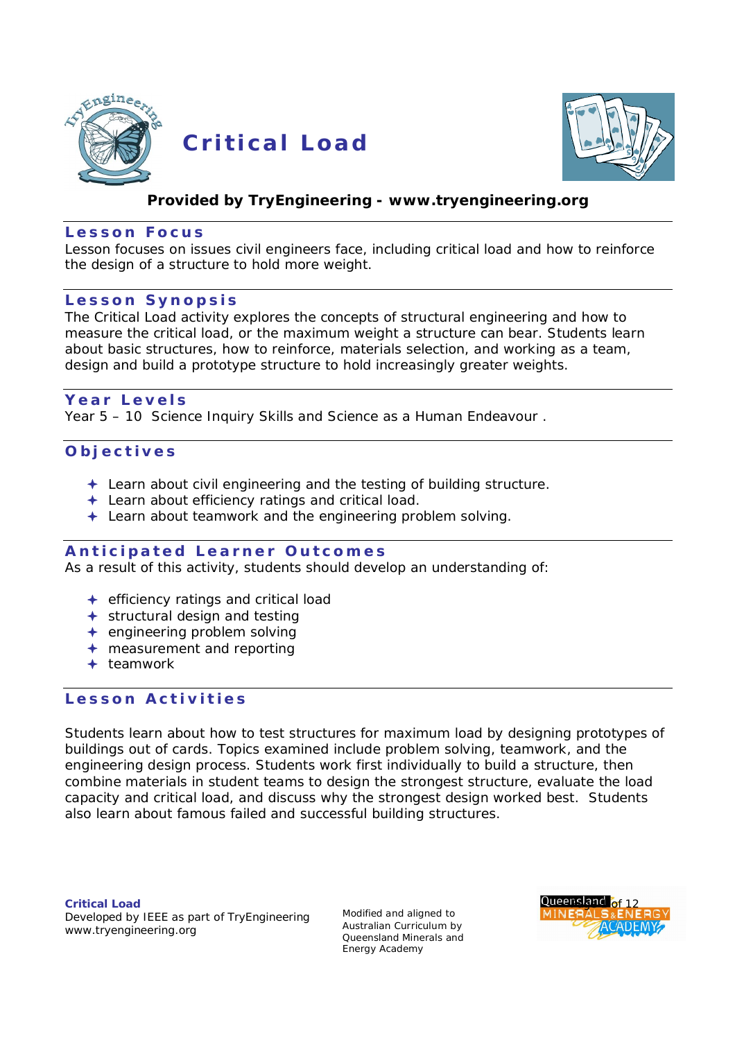

 **C r i t i ca l L oad**



# **Provided by TryEngineering - [www.tryengineering.org](http://www.tryengineering.org)**

### **L e s s o n F o c u s**

Lesson focuses on issues civil engineers face, including critical load and how to reinforce the design of a structure to hold more weight.

# Lesson Synopsis

The Critical Load activity explores the concepts of structural engineering and how to measure the critical load, or the maximum weight a structure can bear. Students learn about basic structures, how to reinforce, materials selection, and working as a team, design and build a prototype structure to hold increasingly greater weights.

# **Y e a r L e v e l s**

Year 5 – 10 Science Inquiry Skills and Science as a Human Endeavour .

# **O b j e c t i v e s**

- $\triangleq$  Learn about civil engineering and the testing of building structure.
- ← Learn about efficiency ratings and critical load.
- **← Learn about teamwork and the engineering problem solving.**

# **Anticipated Learner Outcomes**

As a result of this activity, students should develop an understanding of:

- $\div$  efficiency ratings and critical load
- structural design and testing
- $+$  engineering problem solving
- measurement and reporting
- $+$  teamwork

# Lesson **Activities**

Students learn about how to test structures for maximum load by designing prototypes of buildings out of cards. Topics examined include problem solving, teamwork, and the engineering design process. Students work first individually to build a structure, then combine materials in student teams to design the strongest structure, evaluate the load capacity and critical load, and discuss why the strongest design worked best. Students also learn about famous failed and successful building structures.

**Critical Load** Developed by IEEE as part of TryEngineering [www.tryengineering.org](http://www.tryengineering.org)

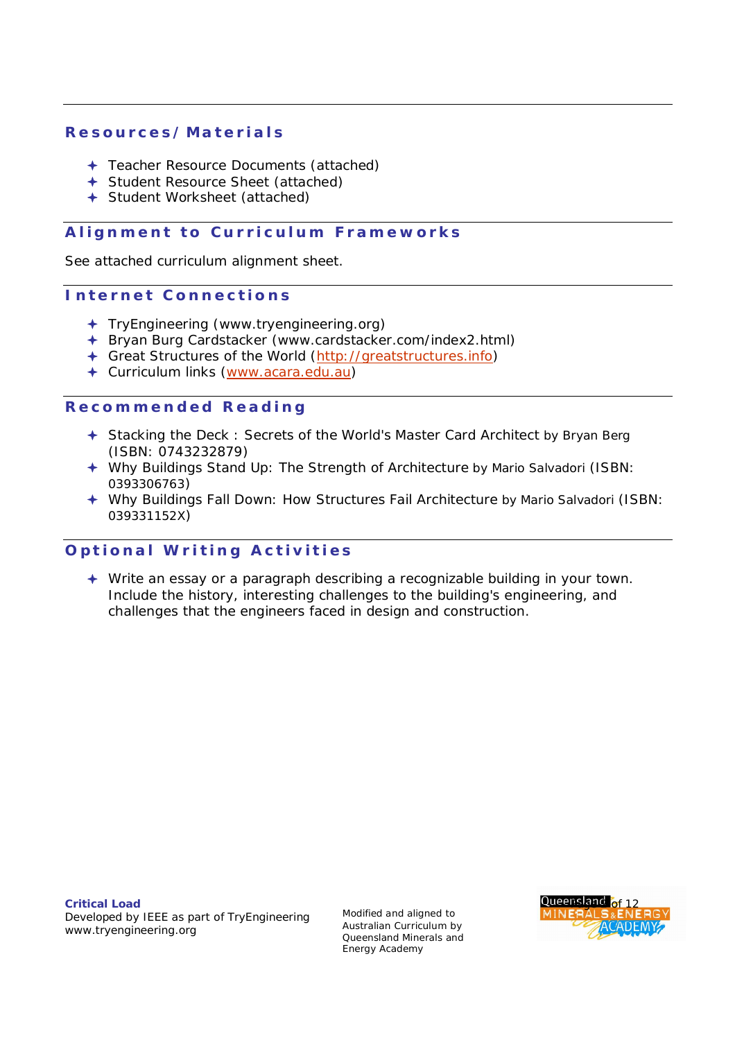# **R e s o u r c e s / M a t e r i a l s**

- ← Teacher Resource Documents (attached)
- Student Resource Sheet (attached)
- Student Worksheet (attached)

# **Alignment to Curriculum Frameworks**

See attached curriculum alignment sheet.

### **Internet Connections**

- TryEngineering ([www.tryengineering.org\)](http://www.tryengineering.org))
- Bryan Burg Cardstacker ([www.cardstacker.com/index2.html\)](http://www.cardstacker.com/index2.html))
- Great Structures of the World [\(http://greatstructures.info\)](http://greatstructures.info))
- Curriculum links [\(www.acara.edu.au\)](http://www.acara.edu.au))

### **R e c o m m e n d e d R e a d i n g**

- Stacking the Deck : Secrets of the World's Master Card Architect by Bryan Berg (ISBN: 0743232879)
- Why Buildings Stand Up: The Strength of Architecture by Mario Salvadori (ISBN: 0393306763)
- Why Buildings Fall Down: How Structures Fail Architecture by Mario Salvadori (ISBN: 039331152X)

# **Optional Writing Activities**

 Write an essay or a paragraph describing a recognizable building in your town. Include the history, interesting challenges to the building's engineering, and challenges that the engineers faced in design and construction.

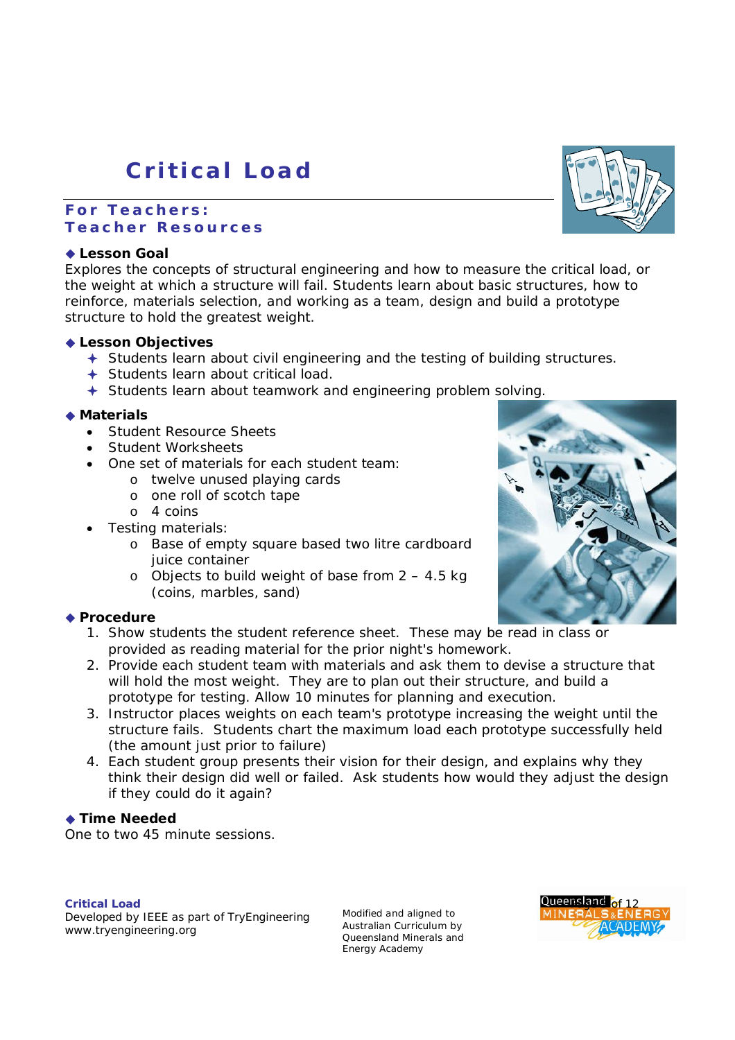# **C r i t i c a l Loa d**

# **For Teachers: T e a c h e r R e s o u r c e s**

### **Lesson Goal**

Explores the concepts of structural engineering and how to measure the critical load, or the weight at which a structure will fail. Students learn about basic structures, how to reinforce, materials selection, and working as a team, design and build a prototype structure to hold the greatest weight.

### **Lesson Objectives**

- Students learn about civil engineering and the testing of building structures.
- Students learn about critical load.
- Students learn about teamwork and engineering problem solving.

# **Materials**

- Student Resource Sheets
- Student Worksheets
- One set of materials for each student team:
	- o twelve unused playing cards
	- o one roll of scotch tape
	- o 4 coins
- Testing materials:
	- o Base of empty square based two litre cardboard juice container
	- o Objects to build weight of base from  $2 4.5$  kg (coins, marbles, sand)

# ◆ Procedure

- 1. Show students the student reference sheet. These may be read in class or provided as reading material for the prior night's homework.
- 2. Provide each student team with materials and ask them to devise a structure that will hold the most weight. They are to plan out their structure, and build a prototype for testing. Allow 10 minutes for planning and execution.
- 3. Instructor places weights on each team's prototype increasing the weight until the structure fails. Students chart the maximum load each prototype successfully held (the amount just prior to failure)
- 4. Each student group presents their vision for their design, and explains why they think their design did well or failed. Ask students how would they adjust the design if they could do it again?

#### ◆ Time Needed

One to two 45 minute sessions.

#### **Critical Load**

Developed by IEEE as part of TryEngineering [www.tryengineering.org](http://www.tryengineering.org)





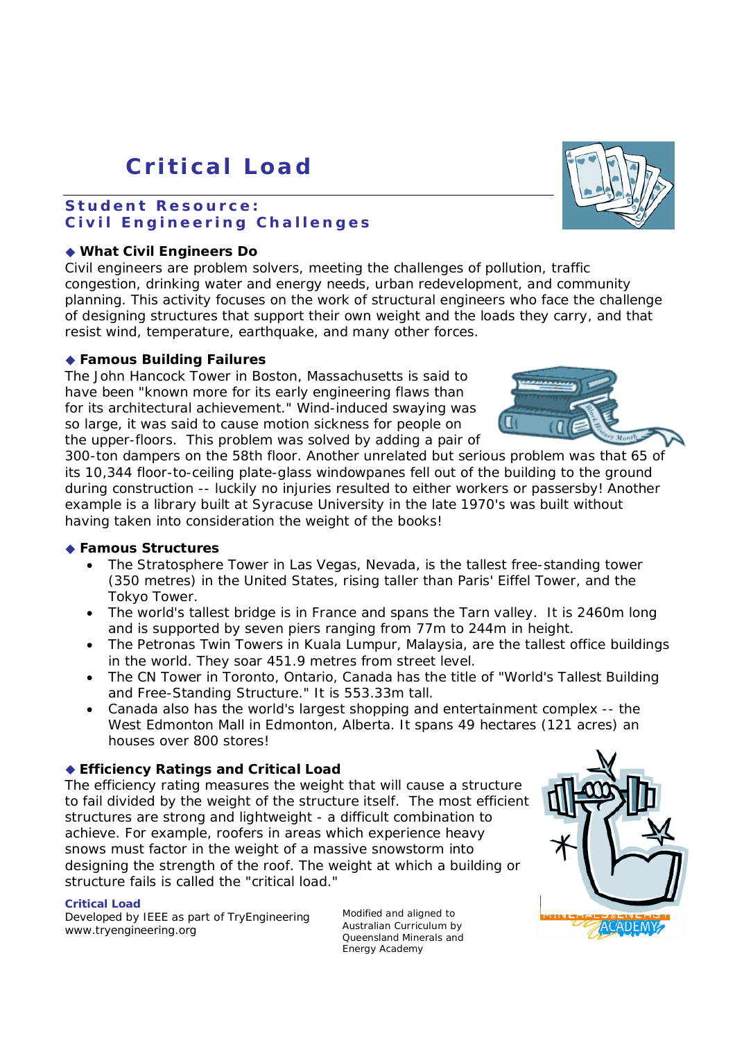# **C r i t i c a l Loa d**

# Student Resource: Civil Engineering Challenges

# **What Civil Engineers Do**

Civil engineers are problem solvers, meeting the challenges of pollution, traffic congestion, drinking water and energy needs, urban redevelopment, and community planning. This activity focuses on the work of structural engineers who face the challenge of designing structures that support their own weight and the loads they carry, and that resist wind, temperature, earthquake, and many other forces.

# **Famous Building Failures**

The John Hancock Tower in Boston, Massachusetts is said to have been "known more for its early engineering flaws than for its architectural achievement." Wind-induced swaying was so large, it was said to cause motion sickness for people on the upper-floors. This problem was solved by adding a pair of

300-ton dampers on the 58th floor. Another unrelated but serious problem was that 65 of its 10,344 floor-to-ceiling plate-glass windowpanes fell out of the building to the ground during construction -- luckily no injuries resulted to either workers or passersby! Another example is a library built at Syracuse University in the late 1970's was built without having taken into consideration the weight of the books!

# **Famous Structures**

- The Stratosphere Tower in Las Vegas, Nevada, is the tallest free-standing tower (350 metres) in the United States, rising taller than Paris' Eiffel Tower, and the Tokyo Tower.
- The world's tallest bridge is in France and spans the Tarn valley. It is 2460m long and is supported by seven piers ranging from 77m to 244m in height.
- The Petronas Twin Towers in Kuala Lumpur, Malaysia, are the tallest office buildings in the world. They soar 451.9 metres from street level.
- The CN Tower in Toronto, Ontario, Canada has the title of "World's Tallest Building and Free-Standing Structure." It is 553.33m tall.
- Canada also has the world's largest shopping and entertainment complex -- the West Edmonton Mall in Edmonton, Alberta. It spans 49 hectares (121 acres) an houses over 800 stores!

# **Efficiency Ratings and Critical Load**

The efficiency rating measures the weight that will cause a structure to fail divided by the weight of the structure itself. The most efficient structures are strong and lightweight - a difficult combination to achieve. For example, roofers in areas which experience heavy snows must factor in the weight of a massive snowstorm into designing the strength of the roof. The weight at which a building or structure fails is called the "critical load."

# **Critical Load**

Developed by IEEE as part of TryEngineering [www.tryengineering.org](http://www.tryengineering.org)





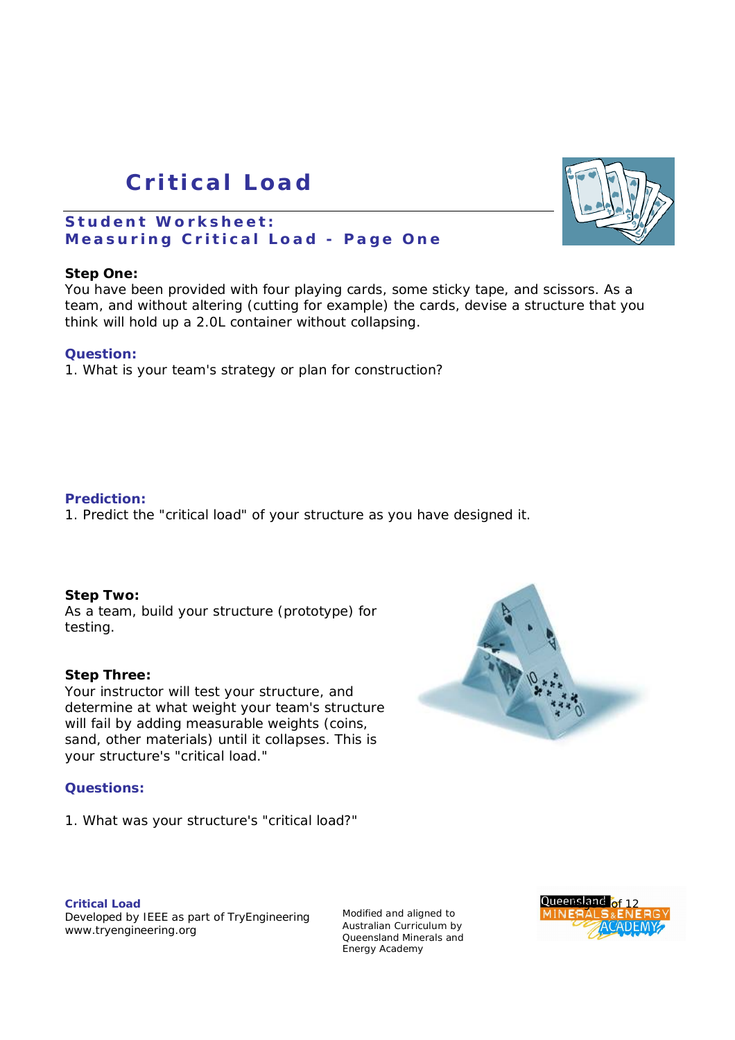# **C r i t i c a l Loa d**

# Student Worksheet: **Measuring Critical Load - Page One**

# **Step One:**

You have been provided with four playing cards, some sticky tape, and scissors. As a team, and without altering (cutting for example) the cards, devise a structure that you think will hold up a 2.0L container without collapsing.

### **Question:**

1. What is your team's strategy or plan for construction?

### **Prediction:**

1. Predict the "critical load" of your structure as you have designed it.

#### **Step Two:**

As a team, build your structure (prototype) for testing.

#### **Step Three:**

Your instructor will test your structure, and determine at what weight your team's structure will fail by adding measurable weights (coins, sand, other materials) until it collapses. This is your structure's "critical load."

# **Questions:**

1. What was your structure's "critical load?"

#### **Critical Load** Developed by IEEE as part of TryEngineering [www.tryengineering.org](http://www.tryengineering.org)





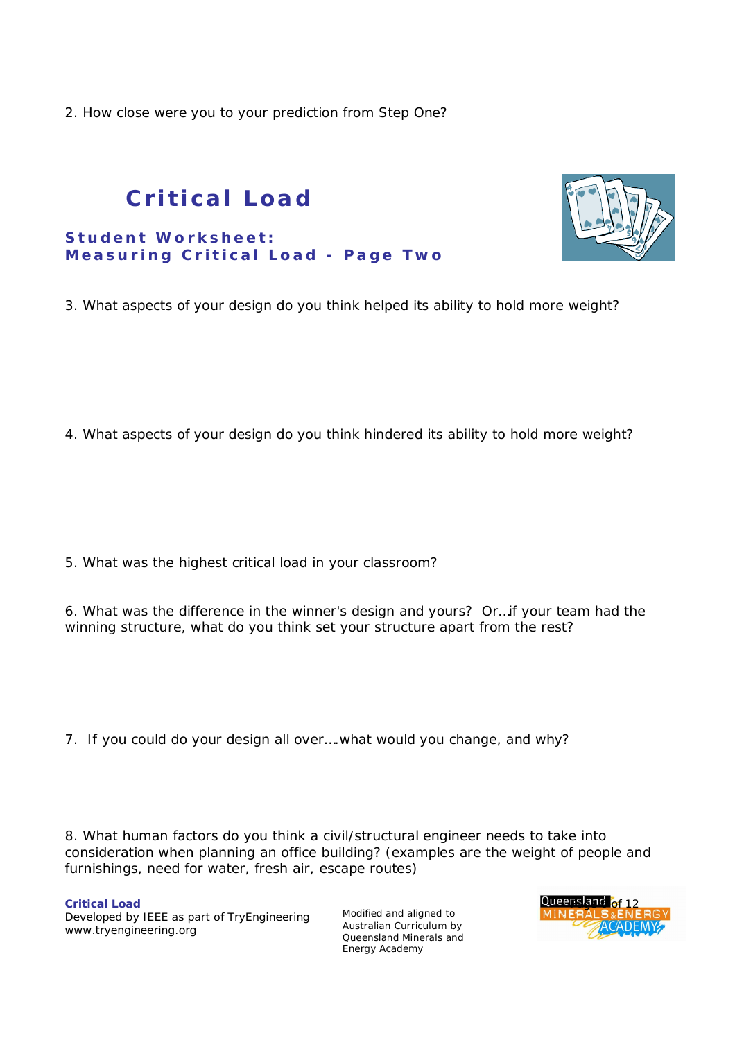2. How close were you to your prediction from Step One?

# **C r i t i c a l Loa d**

Student Worksheet: **Measuring Critical Load - Page Two** 

3. What aspects of your design do you think helped its ability to hold more weight?

4. What aspects of your design do you think hindered its ability to hold more weight?

5. What was the highest critical load in your classroom?

6. What was the difference in the winner's design and yours? Or…if your team had the winning structure, what do you think set your structure apart from the rest?

7. If you could do your design all over….what would you change, and why?

8. What human factors do you think a civil/structural engineer needs to take into consideration when planning an office building? (examples are the weight of people and furnishings, need for water, fresh air, escape routes)

**Critical Load Page 6 of 12 of 12 of 12 of 12 of 12 of 12 of 12 of 12 of 12 of 12 of 12 of 12 of 12 of 12 of 12 of 12 of 12 of 12 of 12 of 12 of 12 of 12 of 12 of 12 of 12 of 12 of 12 of 12 of 12 of 12 of 12 of 12 of 12** Developed by IEEE as part of TryEngineering [www.tryengineering.org](http://www.tryengineering.org)

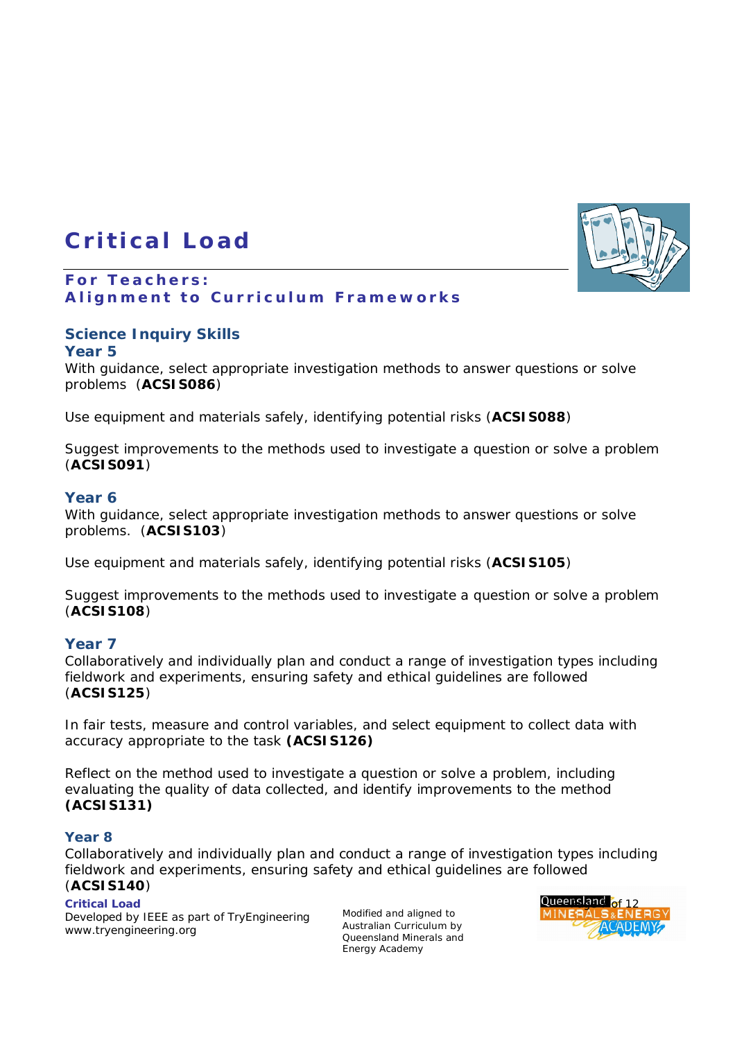# **C r i t i ca l L oad**

# For Teachers: **Alignment to Curriculum Frameworks**

# **Science Inquiry Skills**

# **Year 5**

With guidance, select appropriate investigation methods to answer questions or solve problems (**ACSIS086**)

Use equipment and materials safely, identifying potential risks (**ACSIS088**)

Suggest improvements to the methods used to investigate a question or solve a problem (**ACSIS091**)

# **Year 6**

With guidance, select appropriate investigation methods to answer questions or solve problems. (**ACSIS103**)

Use equipment and materials safely, identifying potential risks (**ACSIS105**)

Suggest improvements to the methods used to investigate a question or solve a problem (**ACSIS108**)

# **Year 7**

Collaboratively and individually plan and conduct a range of investigation types including fieldwork and experiments, ensuring safety and ethical guidelines are followed (**ACSIS125**)

In fair tests, measure and control variables, and select equipment to collect data with accuracy appropriate to the task **(ACSIS126)**

Reflect on the method used to investigate a question or solve a problem, including evaluating the quality of data collected, and identify improvements to the method **(ACSIS131)**

# **Year 8**

Collaboratively and individually plan and conduct a range of investigation types including fieldwork and experiments, ensuring safety and ethical guidelines are followed (**ACSIS140**)

Developed by IEEE as part of TryEngineering [www.tryengineering.org](http://www.tryengineering.org)



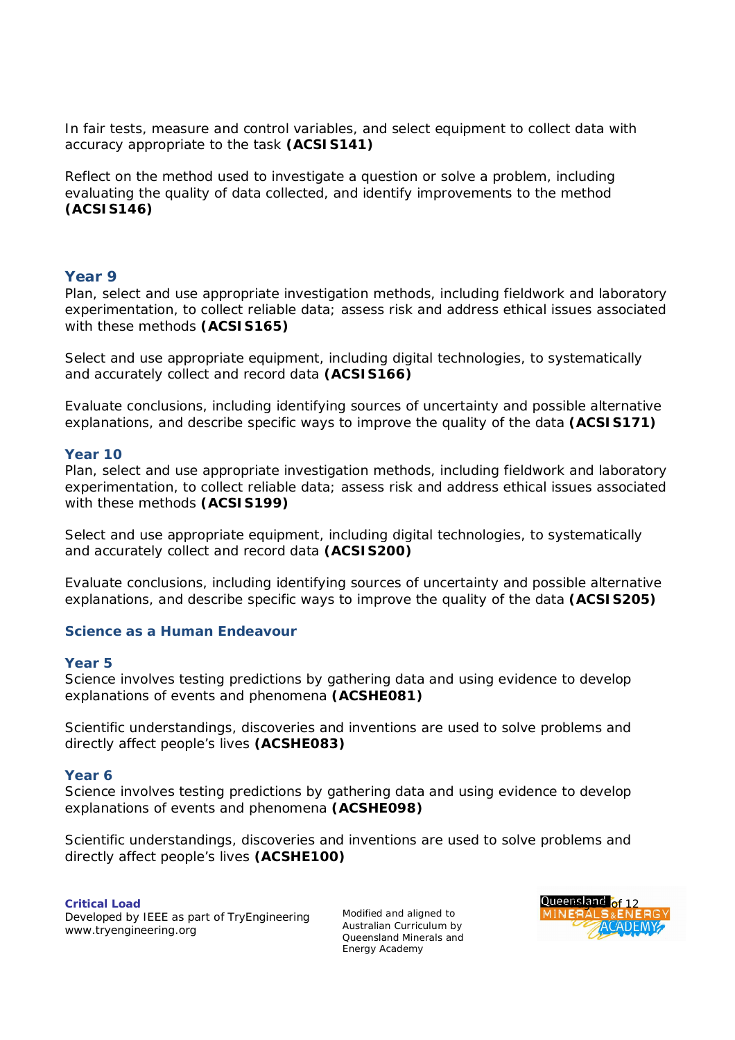In fair tests, measure and control variables, and select equipment to collect data with accuracy appropriate to the task **(ACSIS141)**

Reflect on the method used to investigate a question or solve a problem, including evaluating the quality of data collected, and identify improvements to the method **(ACSIS146)**

### **Year 9**

Plan, select and use appropriate investigation methods, including fieldwork and laboratory experimentation, to collect reliable data; assess risk and address ethical issues associated with these methods **(ACSIS165)**

Select and use appropriate equipment, including digital technologies, to systematically and accurately collect and record data **(ACSIS166)**

Evaluate conclusions, including identifying sources of uncertainty and possible alternative explanations, and describe specific ways to improve the quality of the data **(ACSIS171)**

#### **Year 10**

Plan, select and use appropriate investigation methods, including fieldwork and laboratory experimentation, to collect reliable data; assess risk and address ethical issues associated with these methods **(ACSIS199)**

Select and use appropriate equipment, including digital technologies, to systematically and accurately collect and record data **(ACSIS200)**

Evaluate conclusions, including identifying sources of uncertainty and possible alternative explanations, and describe specific ways to improve the quality of the data **(ACSIS205)**

### **Science as a Human Endeavour**

#### **Year 5**

Science involves testing predictions by gathering data and using evidence to develop explanations of events and phenomena **(ACSHE081)**

Scientific understandings, discoveries and inventions are used to solve problems and directly affect people's lives **(ACSHE083)**

#### **Year 6**

Science involves testing predictions by gathering data and using evidence to develop explanations of events and phenomena **(ACSHE098)**

Scientific understandings, discoveries and inventions are used to solve problems and directly affect people's lives **(ACSHE100)**

Developed by IEEE as part of TryEngineering [www.tryengineering.org](http://www.tryengineering.org)

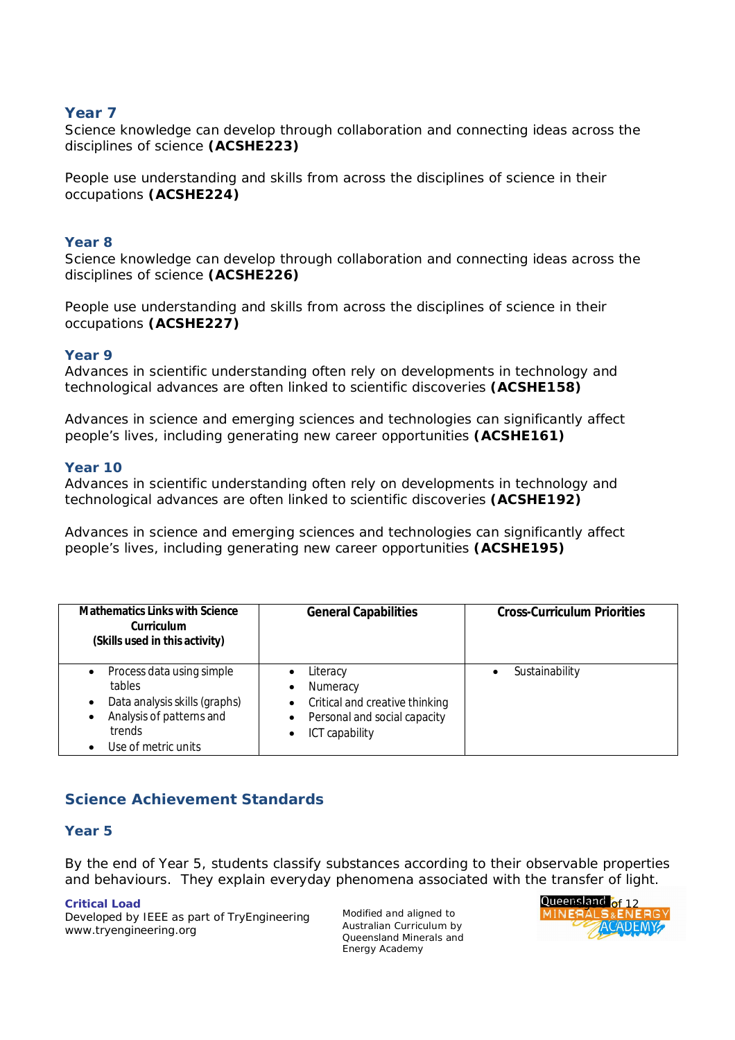# **Year 7**

Science knowledge can develop through collaboration and connecting ideas across the disciplines of science **(ACSHE223)**

People use understanding and skills from across the disciplines of science in their occupations **(ACSHE224)**

# **Year 8**

Science knowledge can develop through collaboration and connecting ideas across the disciplines of science **(ACSHE226)**

People use understanding and skills from across the disciplines of science in their occupations **(ACSHE227)**

### **Year 9**

Advances in scientific understanding often rely on developments in technology and technological advances are often linked to scientific discoveries **(ACSHE158)**

Advances in science and emerging sciences and technologies can significantly affect people's lives, including generating new career opportunities **(ACSHE161)**

### **Year 10**

Advances in scientific understanding often rely on developments in technology and technological advances are often linked to scientific discoveries **(ACSHE192)**

Advances in science and emerging sciences and technologies can significantly affect people's lives, including generating new career opportunities **(ACSHE195)**

| <b>Mathematics Links with Science</b><br>Curriculum<br>(Skills used in this activity)                                                          | <b>General Capabilities</b>                                                                                                             | <b>Cross-Curriculum Priorities</b> |
|------------------------------------------------------------------------------------------------------------------------------------------------|-----------------------------------------------------------------------------------------------------------------------------------------|------------------------------------|
| Process data using simple<br>$\bullet$<br>tables<br>Data analysis skills (graphs)<br>Analysis of patterns and<br>trends<br>Use of metric units | Literacy<br>Numeracy<br>٠<br>Critical and creative thinking<br>$\bullet$<br>Personal and social capacity<br>$\bullet$<br>ICT capability | Sustainability                     |

# **Science Achievement Standards**

#### **Year 5**

By the end of Year 5, students classify substances according to their observable properties and behaviours. They explain everyday phenomena associated with the transfer of light.

Developed by IEEE as part of TryEngineering [www.tryengineering.org](http://www.tryengineering.org)

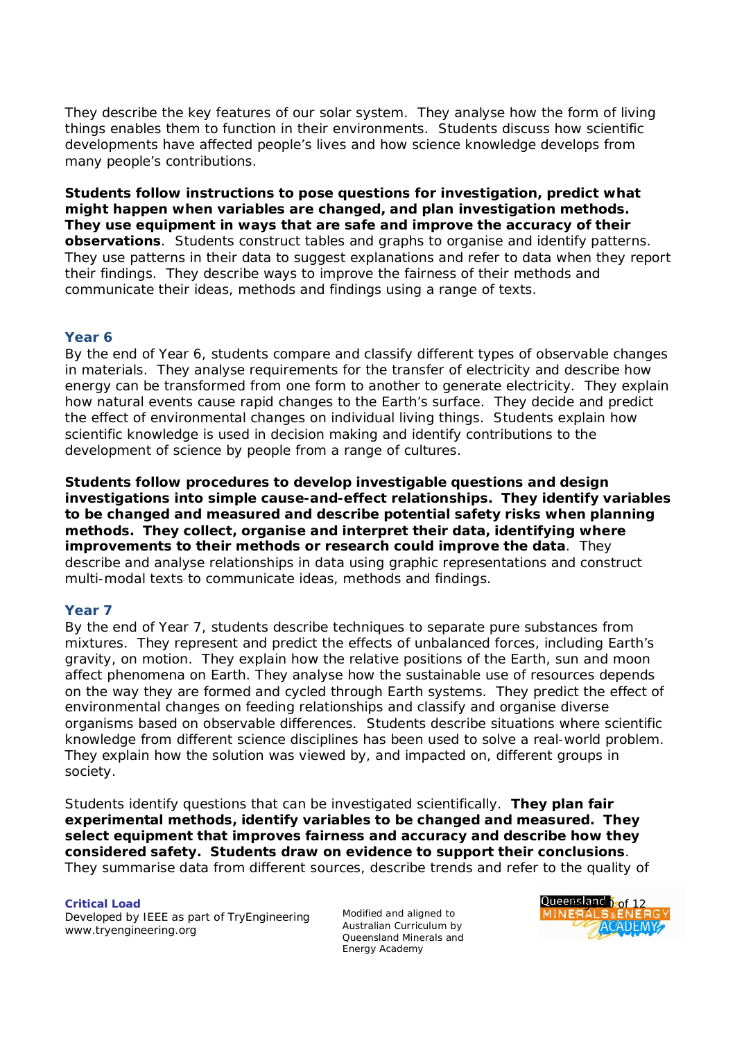They describe the key features of our solar system. They analyse how the form of living things enables them to function in their environments. Students discuss how scientific developments have affected people's lives and how science knowledge develops from many people's contributions.

*Students follow instructions to pose questions for investigation, predict what might happen when variables are changed, and plan investigation methods. They use equipment in ways that are safe and improve the accuracy of their observations*. Students construct tables and graphs to organise and identify patterns. They use patterns in their data to suggest explanations and refer to data when they report their findings. They describe ways to improve the fairness of their methods and communicate their ideas, methods and findings using a range of texts.

# **Year 6**

By the end of Year 6, students compare and classify different types of observable changes in materials. They analyse requirements for the transfer of electricity and describe how energy can be transformed from one form to another to generate electricity. They explain how natural events cause rapid changes to the Earth's surface. They decide and predict the effect of environmental changes on individual living things. Students explain how scientific knowledge is used in decision making and identify contributions to the development of science by people from a range of cultures.

*Students follow procedures to develop investigable questions and design investigations into simple cause-and-effect relationships. They identify variables to be changed and measured and describe potential safety risks when planning methods. They collect, organise and interpret their data, identifying where improvements to their methods or research could improve the data*. They describe and analyse relationships in data using graphic representations and construct multi-modal texts to communicate ideas, methods and findings.

# **Year 7**

By the end of Year 7, students describe techniques to separate pure substances from mixtures. They represent and predict the effects of unbalanced forces, including Earth's gravity, on motion. They explain how the relative positions of the Earth, sun and moon affect phenomena on Earth. They analyse how the sustainable use of resources depends on the way they are formed and cycled through Earth systems. They predict the effect of environmental changes on feeding relationships and classify and organise diverse organisms based on observable differences. Students describe situations where scientific knowledge from different science disciplines has been used to solve a real-world problem. They explain how the solution was viewed by, and impacted on, different groups in society.

Students identify questions that can be investigated scientifically. *They plan fair experimental methods, identify variables to be changed and measured. They select equipment that improves fairness and accuracy and describe how they considered safety. Students draw on evidence to support their conclusions*. They summarise data from different sources, describe trends and refer to the quality of

Developed by IEEE as part of TryEngineering [www.tryengineering.org](http://www.tryengineering.org)

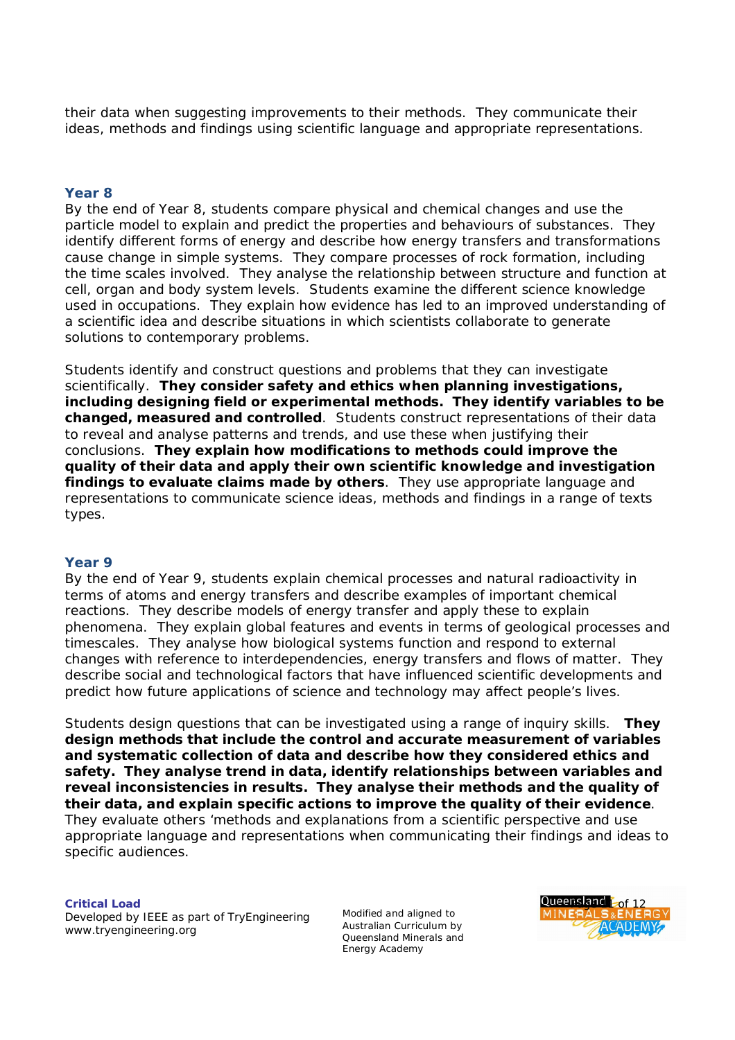their data when suggesting improvements to their methods. They communicate their ideas, methods and findings using scientific language and appropriate representations.

# **Year 8**

By the end of Year 8, students compare physical and chemical changes and use the particle model to explain and predict the properties and behaviours of substances. They identify different forms of energy and describe how energy transfers and transformations cause change in simple systems. They compare processes of rock formation, including the time scales involved. They analyse the relationship between structure and function at cell, organ and body system levels. Students examine the different science knowledge used in occupations. They explain how evidence has led to an improved understanding of a scientific idea and describe situations in which scientists collaborate to generate solutions to contemporary problems.

Students identify and construct questions and problems that they can investigate scientifically. *They consider safety and ethics when planning investigations, including designing field or experimental methods. They identify variables to be changed, measured and controlled*. Students construct representations of their data to reveal and analyse patterns and trends, and use these when justifying their conclusions. *They explain how modifications to methods could improve the quality of their data and apply their own scientific knowledge and investigation findings to evaluate claims made by others*. They use appropriate language and representations to communicate science ideas, methods and findings in a range of texts types.

#### **Year 9**

By the end of Year 9, students explain chemical processes and natural radioactivity in terms of atoms and energy transfers and describe examples of important chemical reactions. They describe models of energy transfer and apply these to explain phenomena. They explain global features and events in terms of geological processes and timescales. They analyse how biological systems function and respond to external changes with reference to interdependencies, energy transfers and flows of matter. They describe social and technological factors that have influenced scientific developments and predict how future applications of science and technology may affect people's lives.

Students design questions that can be investigated using a range of inquiry skills. *They design methods that include the control and accurate measurement of variables and systematic collection of data and describe how they considered ethics and safety. They analyse trend in data, identify relationships between variables and reveal inconsistencies in results. They analyse their methods and the quality of their data, and explain specific actions to improve the quality of their evidence*. They evaluate others 'methods and explanations from a scientific perspective and use appropriate language and representations when communicating their findings and ideas to specific audiences.

Developed by IEEE as part of TryEngineering [www.tryengineering.org](http://www.tryengineering.org)